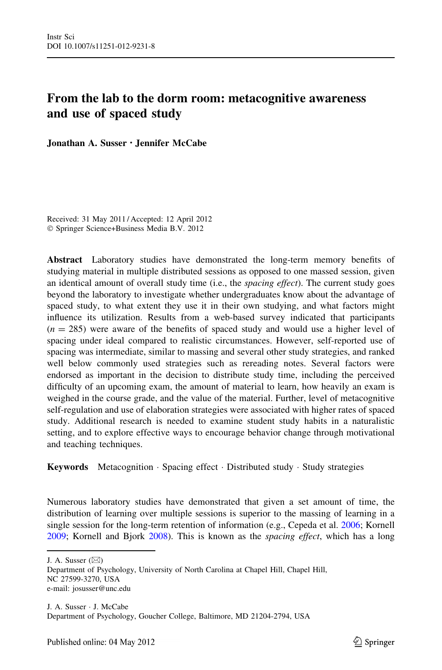# From the lab to the dorm room: metacognitive awareness and use of spaced study

Jonathan A. Susser • Jennifer McCabe

Received: 31 May 2011 / Accepted: 12 April 2012 - Springer Science+Business Media B.V. 2012

Abstract Laboratory studies have demonstrated the long-term memory benefits of studying material in multiple distributed sessions as opposed to one massed session, given an identical amount of overall study time (i.e., the *spacing effect*). The current study goes beyond the laboratory to investigate whether undergraduates know about the advantage of spaced study, to what extent they use it in their own studying, and what factors might influence its utilization. Results from a web-based survey indicated that participants  $(n = 285)$  were aware of the benefits of spaced study and would use a higher level of spacing under ideal compared to realistic circumstances. However, self-reported use of spacing was intermediate, similar to massing and several other study strategies, and ranked well below commonly used strategies such as rereading notes. Several factors were endorsed as important in the decision to distribute study time, including the perceived difficulty of an upcoming exam, the amount of material to learn, how heavily an exam is weighed in the course grade, and the value of the material. Further, level of metacognitive self-regulation and use of elaboration strategies were associated with higher rates of spaced study. Additional research is needed to examine student study habits in a naturalistic setting, and to explore effective ways to encourage behavior change through motivational and teaching techniques.

Keywords Metacognition · Spacing effect · Distributed study · Study strategies

Numerous laboratory studies have demonstrated that given a set amount of time, the distribution of learning over multiple sessions is superior to the massing of learning in a single session for the long-term retention of information (e.g., Cepeda et al. [2006](#page-17-0); Kornell [2009;](#page-18-0) Kornell and Bjork [2008\)](#page-18-0). This is known as the spacing effect, which has a long

J. A. Susser  $(\boxtimes)$ 

Department of Psychology, University of North Carolina at Chapel Hill, Chapel Hill, NC 27599-3270, USA e-mail: josusser@unc.edu

J. A. Susser - J. McCabe Department of Psychology, Goucher College, Baltimore, MD 21204-2794, USA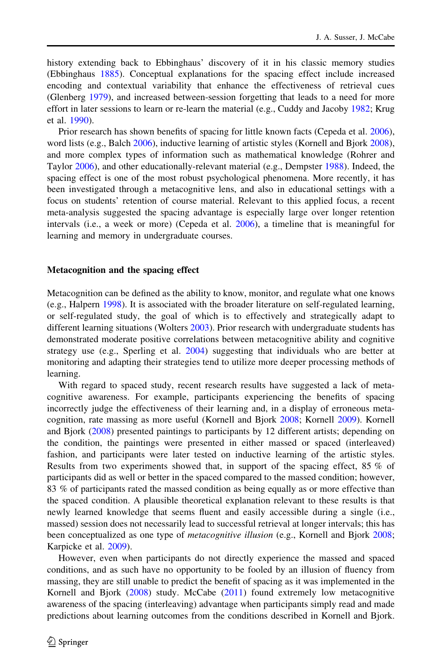history extending back to Ebbinghaus' discovery of it in his classic memory studies (Ebbinghaus [1885\)](#page-18-0). Conceptual explanations for the spacing effect include increased encoding and contextual variability that enhance the effectiveness of retrieval cues (Glenberg [1979](#page-18-0)), and increased between-session forgetting that leads to a need for more effort in later sessions to learn or re-learn the material (e.g., Cuddy and Jacoby [1982](#page-17-0); Krug et al. [1990](#page-18-0)).

Prior research has shown benefits of spacing for little known facts (Cepeda et al. [2006](#page-17-0)), word lists (e.g., Balch [2006](#page-17-0)), inductive learning of artistic styles (Kornell and Bjork [2008](#page-18-0)), and more complex types of information such as mathematical knowledge (Rohrer and Taylor [2006\)](#page-18-0), and other educationally-relevant material (e.g., Dempster [1988](#page-18-0)). Indeed, the spacing effect is one of the most robust psychological phenomena. More recently, it has been investigated through a metacognitive lens, and also in educational settings with a focus on students' retention of course material. Relevant to this applied focus, a recent meta-analysis suggested the spacing advantage is especially large over longer retention intervals (i.e., a week or more) (Cepeda et al. [2006](#page-17-0)), a timeline that is meaningful for learning and memory in undergraduate courses.

#### Metacognition and the spacing effect

Metacognition can be defined as the ability to know, monitor, and regulate what one knows (e.g., Halpern [1998](#page-18-0)). It is associated with the broader literature on self-regulated learning, or self-regulated study, the goal of which is to effectively and strategically adapt to different learning situations (Wolters [2003](#page-18-0)). Prior research with undergraduate students has demonstrated moderate positive correlations between metacognitive ability and cognitive strategy use (e.g., Sperling et al. [2004\)](#page-18-0) suggesting that individuals who are better at monitoring and adapting their strategies tend to utilize more deeper processing methods of learning.

With regard to spaced study, recent research results have suggested a lack of metacognitive awareness. For example, participants experiencing the benefits of spacing incorrectly judge the effectiveness of their learning and, in a display of erroneous metacognition, rate massing as more useful (Kornell and Bjork [2008](#page-18-0); Kornell [2009\)](#page-18-0). Kornell and Bjork [\(2008](#page-18-0)) presented paintings to participants by 12 different artists; depending on the condition, the paintings were presented in either massed or spaced (interleaved) fashion, and participants were later tested on inductive learning of the artistic styles. Results from two experiments showed that, in support of the spacing effect, 85 % of participants did as well or better in the spaced compared to the massed condition; however, 83 % of participants rated the massed condition as being equally as or more effective than the spaced condition. A plausible theoretical explanation relevant to these results is that newly learned knowledge that seems fluent and easily accessible during a single (i.e., massed) session does not necessarily lead to successful retrieval at longer intervals; this has been conceptualized as one type of *metacognitive illusion* (e.g., Kornell and Bjork [2008;](#page-18-0) Karpicke et al. [2009](#page-18-0)).

However, even when participants do not directly experience the massed and spaced conditions, and as such have no opportunity to be fooled by an illusion of fluency from massing, they are still unable to predict the benefit of spacing as it was implemented in the Kornell and Bjork ([2008](#page-18-0)) study. McCabe [\(2011](#page-18-0)) found extremely low metacognitive awareness of the spacing (interleaving) advantage when participants simply read and made predictions about learning outcomes from the conditions described in Kornell and Bjork.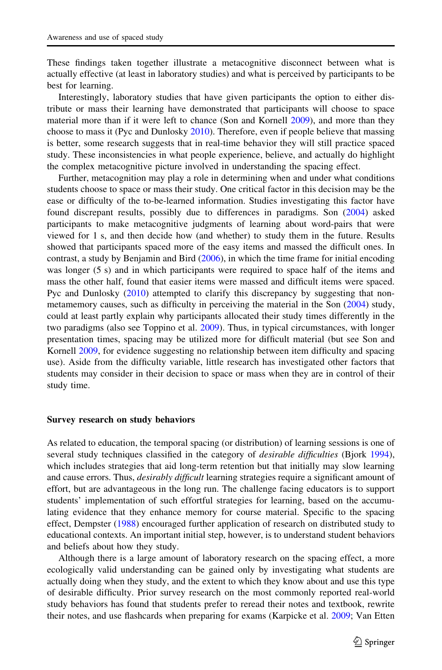These findings taken together illustrate a metacognitive disconnect between what is actually effective (at least in laboratory studies) and what is perceived by participants to be best for learning.

Interestingly, laboratory studies that have given participants the option to either distribute or mass their learning have demonstrated that participants will choose to space material more than if it were left to chance (Son and Kornell [2009](#page-18-0)), and more than they choose to mass it (Pyc and Dunlosky [2010](#page-18-0)). Therefore, even if people believe that massing is better, some research suggests that in real-time behavior they will still practice spaced study. These inconsistencies in what people experience, believe, and actually do highlight the complex metacognitive picture involved in understanding the spacing effect.

Further, metacognition may play a role in determining when and under what conditions students choose to space or mass their study. One critical factor in this decision may be the ease or difficulty of the to-be-learned information. Studies investigating this factor have found discrepant results, possibly due to differences in paradigms. Son [\(2004](#page-18-0)) asked participants to make metacognitive judgments of learning about word-pairs that were viewed for 1 s, and then decide how (and whether) to study them in the future. Results showed that participants spaced more of the easy items and massed the difficult ones. In contrast, a study by Benjamin and Bird [\(2006](#page-17-0)), in which the time frame for initial encoding was longer (5 s) and in which participants were required to space half of the items and mass the other half, found that easier items were massed and difficult items were spaced. Pyc and Dunlosky ([2010\)](#page-18-0) attempted to clarify this discrepancy by suggesting that nonmetamemory causes, such as difficulty in perceiving the material in the Son ([2004\)](#page-18-0) study, could at least partly explain why participants allocated their study times differently in the two paradigms (also see Toppino et al. [2009](#page-18-0)). Thus, in typical circumstances, with longer presentation times, spacing may be utilized more for difficult material (but see Son and Kornell [2009](#page-18-0), for evidence suggesting no relationship between item difficulty and spacing use). Aside from the difficulty variable, little research has investigated other factors that students may consider in their decision to space or mass when they are in control of their study time.

#### Survey research on study behaviors

As related to education, the temporal spacing (or distribution) of learning sessions is one of several study techniques classified in the category of *desirable difficulties* (Bjork [1994](#page-17-0)), which includes strategies that aid long-term retention but that initially may slow learning and cause errors. Thus, desirably difficult learning strategies require a significant amount of effort, but are advantageous in the long run. The challenge facing educators is to support students' implementation of such effortful strategies for learning, based on the accumulating evidence that they enhance memory for course material. Specific to the spacing effect, Dempster [\(1988](#page-18-0)) encouraged further application of research on distributed study to educational contexts. An important initial step, however, is to understand student behaviors and beliefs about how they study.

Although there is a large amount of laboratory research on the spacing effect, a more ecologically valid understanding can be gained only by investigating what students are actually doing when they study, and the extent to which they know about and use this type of desirable difficulty. Prior survey research on the most commonly reported real-world study behaviors has found that students prefer to reread their notes and textbook, rewrite their notes, and use flashcards when preparing for exams (Karpicke et al. [2009;](#page-18-0) Van Etten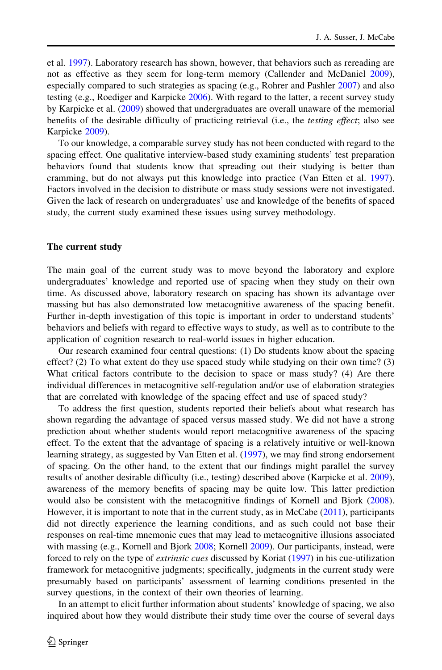et al. [1997\)](#page-18-0). Laboratory research has shown, however, that behaviors such as rereading are not as effective as they seem for long-term memory (Callender and McDaniel [2009](#page-17-0)), especially compared to such strategies as spacing (e.g., Rohrer and Pashler [2007](#page-18-0)) and also testing (e.g., Roediger and Karpicke [2006](#page-18-0)). With regard to the latter, a recent survey study by Karpicke et al. [\(2009](#page-18-0)) showed that undergraduates are overall unaware of the memorial benefits of the desirable difficulty of practicing retrieval (i.e., the *testing effect*; also see Karpicke [2009\)](#page-18-0).

To our knowledge, a comparable survey study has not been conducted with regard to the spacing effect. One qualitative interview-based study examining students' test preparation behaviors found that students know that spreading out their studying is better than cramming, but do not always put this knowledge into practice (Van Etten et al. [1997](#page-18-0)). Factors involved in the decision to distribute or mass study sessions were not investigated. Given the lack of research on undergraduates' use and knowledge of the benefits of spaced study, the current study examined these issues using survey methodology.

#### The current study

The main goal of the current study was to move beyond the laboratory and explore undergraduates' knowledge and reported use of spacing when they study on their own time. As discussed above, laboratory research on spacing has shown its advantage over massing but has also demonstrated low metacognitive awareness of the spacing benefit. Further in-depth investigation of this topic is important in order to understand students' behaviors and beliefs with regard to effective ways to study, as well as to contribute to the application of cognition research to real-world issues in higher education.

Our research examined four central questions: (1) Do students know about the spacing effect? (2) To what extent do they use spaced study while studying on their own time? (3) What critical factors contribute to the decision to space or mass study? (4) Are there individual differences in metacognitive self-regulation and/or use of elaboration strategies that are correlated with knowledge of the spacing effect and use of spaced study?

To address the first question, students reported their beliefs about what research has shown regarding the advantage of spaced versus massed study. We did not have a strong prediction about whether students would report metacognitive awareness of the spacing effect. To the extent that the advantage of spacing is a relatively intuitive or well-known learning strategy, as suggested by Van Etten et al. ([1997\)](#page-18-0), we may find strong endorsement of spacing. On the other hand, to the extent that our findings might parallel the survey results of another desirable difficulty (i.e., testing) described above (Karpicke et al. [2009](#page-18-0)), awareness of the memory benefits of spacing may be quite low. This latter prediction would also be consistent with the metacognitive findings of Kornell and Bjork [\(2008](#page-18-0)). However, it is important to note that in the current study, as in McCabe ([2011](#page-18-0)), participants did not directly experience the learning conditions, and as such could not base their responses on real-time mnemonic cues that may lead to metacognitive illusions associated with massing (e.g., Kornell and Bjork [2008](#page-18-0); Kornell [2009\)](#page-18-0). Our participants, instead, were forced to rely on the type of extrinsic cues discussed by Koriat ([1997\)](#page-18-0) in his cue-utilization framework for metacognitive judgments; specifically, judgments in the current study were presumably based on participants' assessment of learning conditions presented in the survey questions, in the context of their own theories of learning.

In an attempt to elicit further information about students' knowledge of spacing, we also inquired about how they would distribute their study time over the course of several days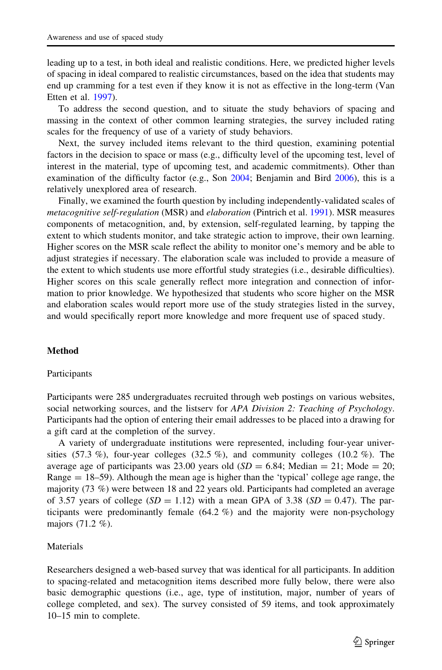leading up to a test, in both ideal and realistic conditions. Here, we predicted higher levels of spacing in ideal compared to realistic circumstances, based on the idea that students may end up cramming for a test even if they know it is not as effective in the long-term (Van Etten et al. [1997](#page-18-0)).

To address the second question, and to situate the study behaviors of spacing and massing in the context of other common learning strategies, the survey included rating scales for the frequency of use of a variety of study behaviors.

Next, the survey included items relevant to the third question, examining potential factors in the decision to space or mass (e.g., difficulty level of the upcoming test, level of interest in the material, type of upcoming test, and academic commitments). Other than examination of the difficulty factor (e.g., Son  $2004$ ; Benjamin and Bird  $2006$ ), this is a relatively unexplored area of research.

Finally, we examined the fourth question by including independently-validated scales of metacognitive self-regulation (MSR) and elaboration (Pintrich et al. [1991](#page-18-0)). MSR measures components of metacognition, and, by extension, self-regulated learning, by tapping the extent to which students monitor, and take strategic action to improve, their own learning. Higher scores on the MSR scale reflect the ability to monitor one's memory and be able to adjust strategies if necessary. The elaboration scale was included to provide a measure of the extent to which students use more effortful study strategies (i.e., desirable difficulties). Higher scores on this scale generally reflect more integration and connection of information to prior knowledge. We hypothesized that students who score higher on the MSR and elaboration scales would report more use of the study strategies listed in the survey, and would specifically report more knowledge and more frequent use of spaced study.

#### Method

#### Participants

Participants were 285 undergraduates recruited through web postings on various websites, social networking sources, and the listserv for APA Division 2: Teaching of Psychology. Participants had the option of entering their email addresses to be placed into a drawing for a gift card at the completion of the survey.

A variety of undergraduate institutions were represented, including four-year universities  $(57.3\%)$ , four-year colleges  $(32.5\%)$ , and community colleges  $(10.2\%)$ . The average age of participants was 23.00 years old  $(SD = 6.84;$  Median = 21; Mode = 20; Range  $= 18-59$ ). Although the mean age is higher than the 'typical' college age range, the majority (73 %) were between 18 and 22 years old. Participants had completed an average of 3.57 years of college  $(SD = 1.12)$  with a mean GPA of 3.38  $(SD = 0.47)$ . The participants were predominantly female (64.2 %) and the majority were non-psychology majors (71.2 %).

### **Materials**

Researchers designed a web-based survey that was identical for all participants. In addition to spacing-related and metacognition items described more fully below, there were also basic demographic questions (i.e., age, type of institution, major, number of years of college completed, and sex). The survey consisted of 59 items, and took approximately 10–15 min to complete.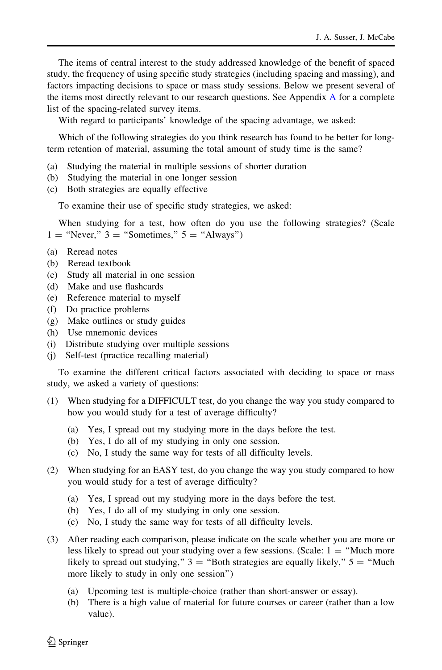The items of central interest to the study addressed knowledge of the benefit of spaced study, the frequency of using specific study strategies (including spacing and massing), and factors impacting decisions to space or mass study sessions. Below we present several of the items most directly relevant to our research questions. See [A](#page-15-0)ppendix A for a complete list of the spacing-related survey items.

With regard to participants' knowledge of the spacing advantage, we asked:

Which of the following strategies do you think research has found to be better for longterm retention of material, assuming the total amount of study time is the same?

- (a) Studying the material in multiple sessions of shorter duration
- (b) Studying the material in one longer session
- (c) Both strategies are equally effective

To examine their use of specific study strategies, we asked:

When studying for a test, how often do you use the following strategies? (Scale  $1 = "Never," 3 = "Sometimes," 5 = "Always")$ 

- (a) Reread notes
- (b) Reread textbook
- (c) Study all material in one session
- (d) Make and use flashcards
- (e) Reference material to myself
- (f) Do practice problems
- (g) Make outlines or study guides
- (h) Use mnemonic devices
- (i) Distribute studying over multiple sessions
- (j) Self-test (practice recalling material)

To examine the different critical factors associated with deciding to space or mass study, we asked a variety of questions:

- (1) When studying for a DIFFICULT test, do you change the way you study compared to how you would study for a test of average difficulty?
	- (a) Yes, I spread out my studying more in the days before the test.
	- (b) Yes, I do all of my studying in only one session.
	- (c) No, I study the same way for tests of all difficulty levels.
- (2) When studying for an EASY test, do you change the way you study compared to how you would study for a test of average difficulty?
	- (a) Yes, I spread out my studying more in the days before the test.
	- (b) Yes, I do all of my studying in only one session.
	- (c) No, I study the same way for tests of all difficulty levels.
- (3) After reading each comparison, please indicate on the scale whether you are more or less likely to spread out your studying over a few sessions. (Scale:  $1 = "Much more$ ) likely to spread out studying,"  $3 =$  "Both strategies are equally likely,"  $5 =$  "Much more likely to study in only one session'')
	- (a) Upcoming test is multiple-choice (rather than short-answer or essay).
	- (b) There is a high value of material for future courses or career (rather than a low value).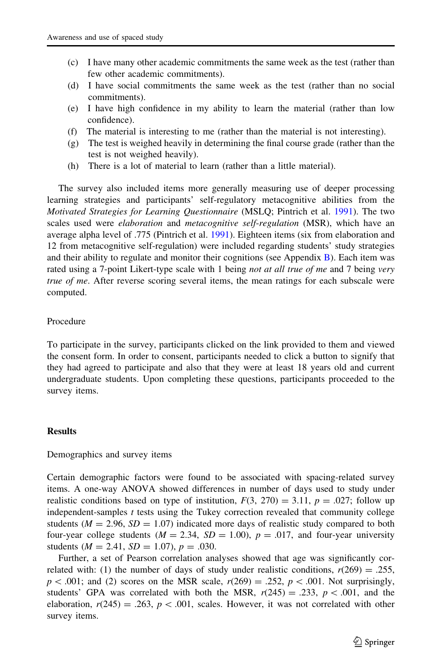- (c) I have many other academic commitments the same week as the test (rather than few other academic commitments).
- (d) I have social commitments the same week as the test (rather than no social commitments).
- (e) I have high confidence in my ability to learn the material (rather than low confidence).
- (f) The material is interesting to me (rather than the material is not interesting).
- (g) The test is weighed heavily in determining the final course grade (rather than the test is not weighed heavily).
- (h) There is a lot of material to learn (rather than a little material).

The survey also included items more generally measuring use of deeper processing learning strategies and participants' self-regulatory metacognitive abilities from the Motivated Strategies for Learning Questionnaire (MSLQ; Pintrich et al. [1991](#page-18-0)). The two scales used were *elaboration* and *metacognitive self-regulation* (MSR), which have an average alpha level of .775 (Pintrich et al. [1991](#page-18-0)). Eighteen items (six from elaboration and 12 from metacognitive self-regulation) were included regarding students' study strategies and their ability to regulate and monitor their cognitions (see Appendix [B\)](#page-16-0). Each item was rated using a 7-point Likert-type scale with 1 being not at all true of me and 7 being very true of me. After reverse scoring several items, the mean ratings for each subscale were computed.

## Procedure

To participate in the survey, participants clicked on the link provided to them and viewed the consent form. In order to consent, participants needed to click a button to signify that they had agreed to participate and also that they were at least 18 years old and current undergraduate students. Upon completing these questions, participants proceeded to the survey items.

## **Results**

Demographics and survey items

Certain demographic factors were found to be associated with spacing-related survey items. A one-way ANOVA showed differences in number of days used to study under realistic conditions based on type of institution,  $F(3, 270) = 3.11$ ,  $p = .027$ ; follow up independent-samples  $t$  tests using the Tukey correction revealed that community college students ( $M = 2.96$ ,  $SD = 1.07$ ) indicated more days of realistic study compared to both four-year college students ( $M = 2.34$ ,  $SD = 1.00$ ),  $p = .017$ , and four-year university students ( $M = 2.41$ ,  $SD = 1.07$ ),  $p = .030$ .

Further, a set of Pearson correlation analyses showed that age was significantly correlated with: (1) the number of days of study under realistic conditions,  $r(269) = .255$ ,  $p$  < .001; and (2) scores on the MSR scale,  $r(269) = .252$ ,  $p$  < .001. Not surprisingly, students' GPA was correlated with both the MSR,  $r(245) = .233$ ,  $p < .001$ , and the elaboration,  $r(245) = .263$ ,  $p < .001$ , scales. However, it was not correlated with other survey items.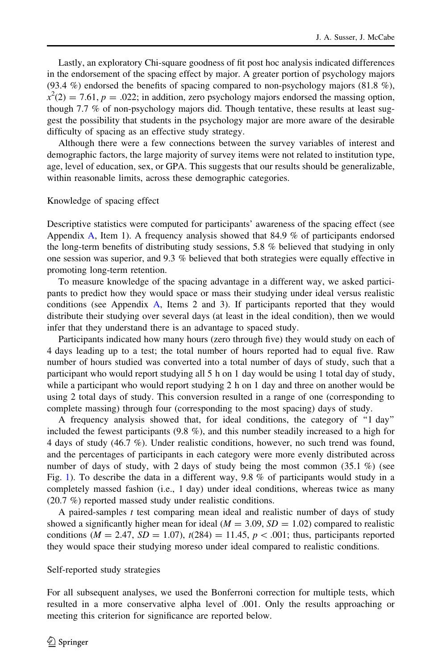Lastly, an exploratory Chi-square goodness of fit post hoc analysis indicated differences in the endorsement of the spacing effect by major. A greater portion of psychology majors (93.4 %) endorsed the benefits of spacing compared to non-psychology majors (81.8 %),  $x^2(2) = 7.61$ ,  $p = .022$ ; in addition, zero psychology majors endorsed the massing option, though 7.7 % of non-psychology majors did. Though tentative, these results at least suggest the possibility that students in the psychology major are more aware of the desirable difficulty of spacing as an effective study strategy.

Although there were a few connections between the survey variables of interest and demographic factors, the large majority of survey items were not related to institution type, age, level of education, sex, or GPA. This suggests that our results should be generalizable, within reasonable limits, across these demographic categories.

#### Knowledge of spacing effect

Descriptive statistics were computed for participants' awareness of the spacing effect (see Appendix [A](#page-15-0), Item 1). A frequency analysis showed that 84.9 % of participants endorsed the long-term benefits of distributing study sessions, 5.8 % believed that studying in only one session was superior, and 9.3 % believed that both strategies were equally effective in promoting long-term retention.

To measure knowledge of the spacing advantage in a different way, we asked participants to predict how they would space or mass their studying under ideal versus realistic conditions (see [A](#page-15-0)ppendix  $\overline{A}$ , Items 2 and 3). If participants reported that they would distribute their studying over several days (at least in the ideal condition), then we would infer that they understand there is an advantage to spaced study.

Participants indicated how many hours (zero through five) they would study on each of 4 days leading up to a test; the total number of hours reported had to equal five. Raw number of hours studied was converted into a total number of days of study, such that a participant who would report studying all 5 h on 1 day would be using 1 total day of study, while a participant who would report studying 2 h on 1 day and three on another would be using 2 total days of study. This conversion resulted in a range of one (corresponding to complete massing) through four (corresponding to the most spacing) days of study.

A frequency analysis showed that, for ideal conditions, the category of ''1 day'' included the fewest participants (9.8 %), and this number steadily increased to a high for 4 days of study (46.7 %). Under realistic conditions, however, no such trend was found, and the percentages of participants in each category were more evenly distributed across number of days of study, with 2 days of study being the most common  $(35.1\%)$  (see Fig. [1\)](#page-8-0). To describe the data in a different way, 9.8 % of participants would study in a completely massed fashion (i.e., 1 day) under ideal conditions, whereas twice as many (20.7 %) reported massed study under realistic conditions.

A paired-samples  $t$  test comparing mean ideal and realistic number of days of study showed a significantly higher mean for ideal ( $M = 3.09$ ,  $SD = 1.02$ ) compared to realistic conditions ( $M = 2.47$ ,  $SD = 1.07$ ),  $t(284) = 11.45$ ,  $p < .001$ ; thus, participants reported they would space their studying moreso under ideal compared to realistic conditions.

#### Self-reported study strategies

For all subsequent analyses, we used the Bonferroni correction for multiple tests, which resulted in a more conservative alpha level of .001. Only the results approaching or meeting this criterion for significance are reported below.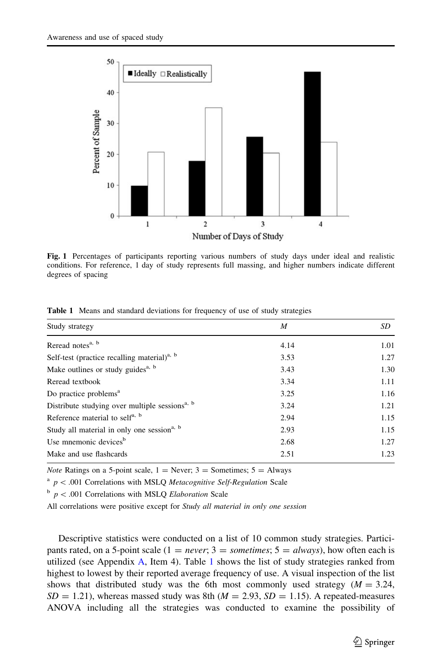<span id="page-8-0"></span>

Fig. 1 Percentages of participants reporting various numbers of study days under ideal and realistic conditions. For reference, 1 day of study represents full massing, and higher numbers indicate different degrees of spacing

| Study strategy                                             | M    | SD   |
|------------------------------------------------------------|------|------|
| Reread notes <sup>a, b</sup>                               | 4.14 | 1.01 |
| Self-test (practice recalling material) <sup>a, b</sup>    | 3.53 | 1.27 |
| Make outlines or study guides <sup>a, b</sup>              | 3.43 | 1.30 |
| Reread textbook                                            | 3.34 | 1.11 |
| Do practice problems <sup>a</sup>                          | 3.25 | 1.16 |
| Distribute studying over multiple sessions <sup>a, b</sup> | 3.24 | 1.21 |
| Reference material to self <sup>a, b</sup>                 | 2.94 | 1.15 |
| Study all material in only one session <sup>a, b</sup>     | 2.93 | 1.15 |
| Use mnemonic devices <sup>b</sup>                          | 2.68 | 1.27 |
| Make and use flashcards                                    | 2.51 | 1.23 |

Table 1 Means and standard deviations for frequency of use of study strategies

*Note* Ratings on a 5-point scale,  $1 =$  Never;  $3 =$  Sometimes;  $5 =$  Always

 $a$   $p$  < .001 Correlations with MSLQ Metacognitive Self-Regulation Scale

 $b$   $p$  < .001 Correlations with MSLQ Elaboration Scale

All correlations were positive except for Study all material in only one session

Descriptive statistics were conducted on a list of 10 common study strategies. Participants rated, on a 5-point scale  $(1 = never; 3 = sometimes; 5 = always)$ , how often each is utilized (see Appendix [A,](#page-15-0) Item 4). Table 1 shows the list of study strategies ranked from highest to lowest by their reported average frequency of use. A visual inspection of the list shows that distributed study was the 6th most commonly used strategy  $(M = 3.24,$  $SD = 1.21$ ), whereas massed study was 8th ( $M = 2.93$ ,  $SD = 1.15$ ). A repeated-measures ANOVA including all the strategies was conducted to examine the possibility of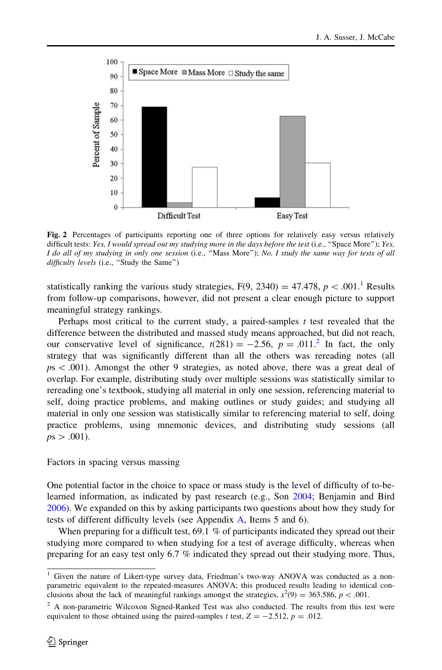<span id="page-9-0"></span>

Fig. 2 Percentages of participants reporting one of three options for relatively easy versus relatively difficult tests: Yes, I would spread out my studying more in the days before the test (i.e., "Space More"); Yes, I do all of my studying in only one session (i.e., "Mass More"); No, I study the same way for tests of all difficulty levels (i.e., "Study the Same")

statistically ranking the various study strategies,  $F(9, 2340) = 47.478$ ,  $p \lt 0.001$ .<sup>1</sup> Results from follow-up comparisons, however, did not present a clear enough picture to support meaningful strategy rankings.

Perhaps most critical to the current study, a paired-samples  $t$  test revealed that the difference between the distributed and massed study means approached, but did not reach, our conservative level of significance,  $t(281) = -2.56$ ,  $p = .011$ .<sup>2</sup> In fact, the only strategy that was significantly different than all the others was rereading notes (all  $ps\lt 0.001$ . Amongst the other 9 strategies, as noted above, there was a great deal of overlap. For example, distributing study over multiple sessions was statistically similar to rereading one's textbook, studying all material in only one session, referencing material to self, doing practice problems, and making outlines or study guides; and studying all material in only one session was statistically similar to referencing material to self, doing practice problems, using mnemonic devices, and distributing study sessions (all  $ps > .001$ ).

## Factors in spacing versus massing

One potential factor in the choice to space or mass study is the level of difficulty of to-belearned information, as indicated by past research (e.g., Son [2004](#page-18-0); Benjamin and Bird [2006\)](#page-17-0). We expanded on this by asking participants two questions about how they study for tests of different difficulty levels (see Appendix [A,](#page-15-0) Items 5 and 6).

When preparing for a difficult test, 69.1 % of participants indicated they spread out their studying more compared to when studying for a test of average difficulty, whereas when preparing for an easy test only 6.7 % indicated they spread out their studying more. Thus,

<sup>1</sup> Given the nature of Likert-type survey data, Friedman's two-way ANOVA was conducted as a nonparametric equivalent to the repeated-measures ANOVA; this produced results leading to identical conclusions about the lack of meaningful rankings amongst the strategies,  $x^2(9) = 363.586$ ,  $p < .001$ .

<sup>2</sup> A non-parametric Wilcoxon Signed-Ranked Test was also conducted. The results from this test were equivalent to those obtained using the paired-samples t test,  $Z = -2.512$ ,  $p = .012$ .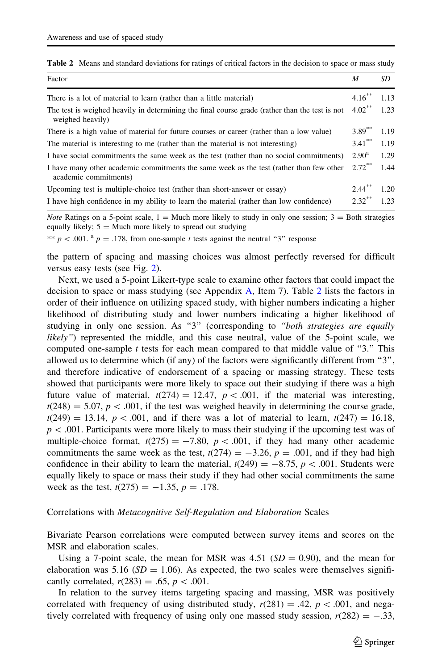|  |  |  |  |  |  |  | <b>Table 2</b> Means and standard deviations for ratings of critical factors in the decision to space or mass study |  |  |
|--|--|--|--|--|--|--|---------------------------------------------------------------------------------------------------------------------|--|--|
|--|--|--|--|--|--|--|---------------------------------------------------------------------------------------------------------------------|--|--|

| Factor                                                                                                             | M                | SD.  |
|--------------------------------------------------------------------------------------------------------------------|------------------|------|
| There is a lot of material to learn (rather than a little material)                                                | $4.16^{**}$ 1.13 |      |
| The test is weighed heavily in determining the final course grade (rather than the test is not<br>weighed heavily) | $4.02***$        | 1.23 |
| There is a high value of material for future courses or career (rather than a low value)                           | $3.89^{**}$ 1.19 |      |
| The material is interesting to me (rather than the material is not interesting)                                    | $3.41***$        | 1.19 |
| I have social commitments the same week as the test (rather than no social commitments)                            | $2.90^{\rm a}$   | 1.29 |
| I have many other academic commitments the same week as the test (rather than few other<br>academic commitments)   | $2.72***$        | 1.44 |
| Upcoming test is multiple-choice test (rather than short-answer or essay)                                          | $2.44***$        | 1.20 |
| I have high confidence in my ability to learn the material (rather than low confidence)                            | $2.32***$        | 1.23 |

*Note* Ratings on a 5-point scale,  $1 =$  Much more likely to study in only one session;  $3 =$  Both strategies equally likely;  $5 =$  Much more likely to spread out studying

\*\*  $p < .001$ .  $p = .178$ , from one-sample t tests against the neutral "3" response

the pattern of spacing and massing choices was almost perfectly reversed for difficult versus easy tests (see Fig. [2](#page-9-0)).

Next, we used a 5-point Likert-type scale to examine other factors that could impact the decision to space or mass studying (see Appendix [A,](#page-15-0) Item 7). Table 2 lists the factors in order of their influence on utilizing spaced study, with higher numbers indicating a higher likelihood of distributing study and lower numbers indicating a higher likelihood of studying in only one session. As "3" (corresponding to "both strategies are equally likely") represented the middle, and this case neutral, value of the 5-point scale, we computed one-sample  $t$  tests for each mean compared to that middle value of "3." This allowed us to determine which (if any) of the factors were significantly different from "3", and therefore indicative of endorsement of a spacing or massing strategy. These tests showed that participants were more likely to space out their studying if there was a high future value of material,  $t(274) = 12.47$ ,  $p < .001$ , if the material was interesting,  $t(248) = 5.07, p < .001$ , if the test was weighed heavily in determining the course grade,  $t(249) = 13.14, p < .001$ , and if there was a lot of material to learn,  $t(247) = 16.18$ ,  $p$  < .001. Participants were more likely to mass their studying if the upcoming test was of multiple-choice format,  $t(275) = -7.80$ ,  $p < .001$ , if they had many other academic commitments the same week as the test,  $t(274) = -3.26$ ,  $p = .001$ , and if they had high confidence in their ability to learn the material,  $t(249) = -8.75$ ,  $p < .001$ . Students were equally likely to space or mass their study if they had other social commitments the same week as the test,  $t(275) = -1.35$ ,  $p = .178$ .

#### Correlations with Metacognitive Self-Regulation and Elaboration Scales

Bivariate Pearson correlations were computed between survey items and scores on the MSR and elaboration scales.

Using a 7-point scale, the mean for MSR was 4.51 ( $SD = 0.90$ ), and the mean for elaboration was 5.16 ( $SD = 1.06$ ). As expected, the two scales were themselves significantly correlated,  $r(283) = .65$ ,  $p < .001$ .

In relation to the survey items targeting spacing and massing, MSR was positively correlated with frequency of using distributed study,  $r(281) = .42$ ,  $p \lt .001$ , and negatively correlated with frequency of using only one massed study session,  $r(282) = -.33$ ,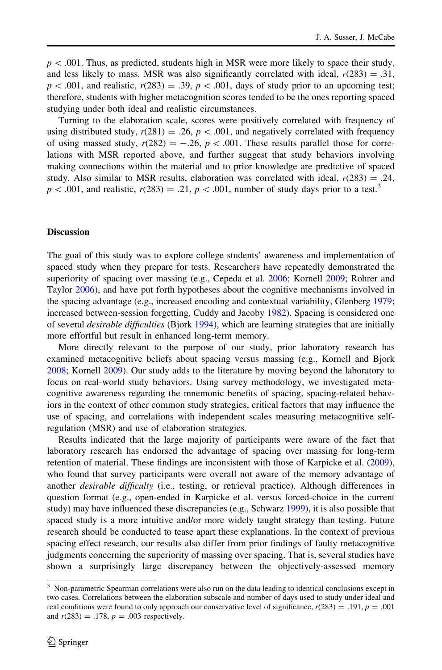$p$  < .001. Thus, as predicted, students high in MSR were more likely to space their study, and less likely to mass. MSR was also significantly correlated with ideal,  $r(283) = .31$ ,  $p$  < .001, and realistic,  $r(283) = .39$ ,  $p$  < .001, days of study prior to an upcoming test; therefore, students with higher metacognition scores tended to be the ones reporting spaced studying under both ideal and realistic circumstances.

Turning to the elaboration scale, scores were positively correlated with frequency of using distributed study,  $r(281) = .26$ ,  $p < .001$ , and negatively correlated with frequency of using massed study,  $r(282) = -.26$ ,  $p < .001$ . These results parallel those for correlations with MSR reported above, and further suggest that study behaviors involving making connections within the material and to prior knowledge are predictive of spaced study. Also similar to MSR results, elaboration was correlated with ideal,  $r(283) = .24$ ,  $p$  < .001, and realistic,  $r(283) = .21$ ,  $p$  < .001, number of study days prior to a test.<sup>3</sup>

## **Discussion**

The goal of this study was to explore college students' awareness and implementation of spaced study when they prepare for tests. Researchers have repeatedly demonstrated the superiority of spacing over massing (e.g., Cepeda et al. [2006;](#page-17-0) Kornell [2009](#page-18-0); Rohrer and Taylor [2006](#page-18-0)), and have put forth hypotheses about the cognitive mechanisms involved in the spacing advantage (e.g., increased encoding and contextual variability, Glenberg [1979;](#page-18-0) increased between-session forgetting, Cuddy and Jacoby [1982\)](#page-17-0). Spacing is considered one of several *desirable difficulties* (Bjork [1994](#page-17-0)), which are learning strategies that are initially more effortful but result in enhanced long-term memory.

More directly relevant to the purpose of our study, prior laboratory research has examined metacognitive beliefs about spacing versus massing (e.g., Kornell and Bjork [2008;](#page-18-0) Kornell [2009](#page-18-0)). Our study adds to the literature by moving beyond the laboratory to focus on real-world study behaviors. Using survey methodology, we investigated metacognitive awareness regarding the mnemonic benefits of spacing, spacing-related behaviors in the context of other common study strategies, critical factors that may influence the use of spacing, and correlations with independent scales measuring metacognitive selfregulation (MSR) and use of elaboration strategies.

Results indicated that the large majority of participants were aware of the fact that laboratory research has endorsed the advantage of spacing over massing for long-term retention of material. These findings are inconsistent with those of Karpicke et al. [\(2009](#page-18-0)), who found that survey participants were overall not aware of the memory advantage of another desirable difficulty (i.e., testing, or retrieval practice). Although differences in question format (e.g., open-ended in Karpicke et al. versus forced-choice in the current study) may have influenced these discrepancies (e.g., Schwarz [1999\)](#page-18-0), it is also possible that spaced study is a more intuitive and/or more widely taught strategy than testing. Future research should be conducted to tease apart these explanations. In the context of previous spacing effect research, our results also differ from prior findings of faulty metacognitive judgments concerning the superiority of massing over spacing. That is, several studies have shown a surprisingly large discrepancy between the objectively-assessed memory

<sup>&</sup>lt;sup>3</sup> Non-parametric Spearman correlations were also run on the data leading to identical conclusions except in two cases. Correlations between the elaboration subscale and number of days used to study under ideal and real conditions were found to only approach our conservative level of significance,  $r(283) = .191$ ,  $p = .001$ and  $r(283) = .178$ ,  $p = .003$  respectively.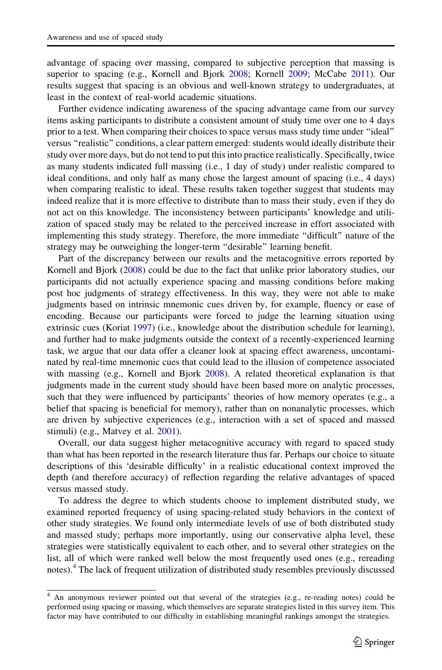advantage of spacing over massing, compared to subjective perception that massing is superior to spacing (e.g., Kornell and Bjork [2008;](#page-18-0) Kornell [2009;](#page-18-0) McCabe [2011](#page-18-0)). Our results suggest that spacing is an obvious and well-known strategy to undergraduates, at least in the context of real-world academic situations.

Further evidence indicating awareness of the spacing advantage came from our survey items asking participants to distribute a consistent amount of study time over one to 4 days prior to a test. When comparing their choices to space versus mass study time under ''ideal'' versus ''realistic'' conditions, a clear pattern emerged: students would ideally distribute their study over more days, but do not tend to put this into practice realistically. Specifically, twice as many students indicated full massing (i.e., 1 day of study) under realistic compared to ideal conditions, and only half as many chose the largest amount of spacing (i.e., 4 days) when comparing realistic to ideal. These results taken together suggest that students may indeed realize that it is more effective to distribute than to mass their study, even if they do not act on this knowledge. The inconsistency between participants' knowledge and utilization of spaced study may be related to the perceived increase in effort associated with implementing this study strategy. Therefore, the more immediate ''difficult'' nature of the strategy may be outweighing the longer-term ''desirable'' learning benefit.

Part of the discrepancy between our results and the metacognitive errors reported by Kornell and Bjork ([2008\)](#page-18-0) could be due to the fact that unlike prior laboratory studies, our participants did not actually experience spacing and massing conditions before making post hoc judgments of strategy effectiveness. In this way, they were not able to make judgments based on intrinsic mnemonic cues driven by, for example, fluency or ease of encoding. Because our participants were forced to judge the learning situation using extrinsic cues (Koriat [1997](#page-18-0)) (i.e., knowledge about the distribution schedule for learning), and further had to make judgments outside the context of a recently-experienced learning task, we argue that our data offer a cleaner look at spacing effect awareness, uncontaminated by real-time mnemonic cues that could lead to the illusion of competence associated with massing (e.g., Kornell and Bjork [2008](#page-18-0)). A related theoretical explanation is that judgments made in the current study should have been based more on analytic processes, such that they were influenced by participants' theories of how memory operates (e.g., a belief that spacing is beneficial for memory), rather than on nonanalytic processes, which are driven by subjective experiences (e.g., interaction with a set of spaced and massed stimuli) (e.g., Matvey et al. [2001](#page-18-0)).

Overall, our data suggest higher metacognitive accuracy with regard to spaced study than what has been reported in the research literature thus far. Perhaps our choice to situate descriptions of this 'desirable difficulty' in a realistic educational context improved the depth (and therefore accuracy) of reflection regarding the relative advantages of spaced versus massed study.

To address the degree to which students choose to implement distributed study, we examined reported frequency of using spacing-related study behaviors in the context of other study strategies. We found only intermediate levels of use of both distributed study and massed study; perhaps more importantly, using our conservative alpha level, these strategies were statistically equivalent to each other, and to several other strategies on the list, all of which were ranked well below the most frequently used ones (e.g., rereading notes).<sup>4</sup> The lack of frequent utilization of distributed study resembles previously discussed

<sup>&</sup>lt;sup>4</sup> An anonymous reviewer pointed out that several of the strategies (e.g., re-reading notes) could be performed using spacing or massing, which themselves are separate strategies listed in this survey item. This factor may have contributed to our difficulty in establishing meaningful rankings amongst the strategies.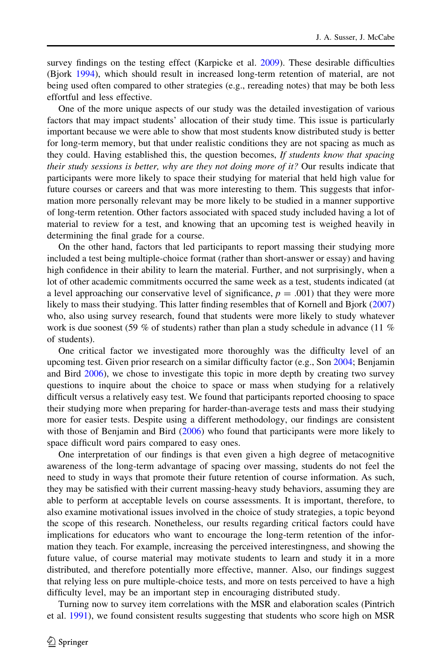survey findings on the testing effect (Karpicke et al. [2009](#page-18-0)). These desirable difficulties (Bjork [1994](#page-17-0)), which should result in increased long-term retention of material, are not being used often compared to other strategies (e.g., rereading notes) that may be both less effortful and less effective.

One of the more unique aspects of our study was the detailed investigation of various factors that may impact students' allocation of their study time. This issue is particularly important because we were able to show that most students know distributed study is better for long-term memory, but that under realistic conditions they are not spacing as much as they could. Having established this, the question becomes, If students know that spacing their study sessions is better, why are they not doing more of it? Our results indicate that participants were more likely to space their studying for material that held high value for future courses or careers and that was more interesting to them. This suggests that information more personally relevant may be more likely to be studied in a manner supportive of long-term retention. Other factors associated with spaced study included having a lot of material to review for a test, and knowing that an upcoming test is weighed heavily in determining the final grade for a course.

On the other hand, factors that led participants to report massing their studying more included a test being multiple-choice format (rather than short-answer or essay) and having high confidence in their ability to learn the material. Further, and not surprisingly, when a lot of other academic commitments occurred the same week as a test, students indicated (at a level approaching our conservative level of significance,  $p = .001$ ) that they were more likely to mass their studying. This latter finding resembles that of Kornell and Bjork ([2007](#page-18-0)) who, also using survey research, found that students were more likely to study whatever work is due soonest (59 % of students) rather than plan a study schedule in advance (11 % of students).

One critical factor we investigated more thoroughly was the difficulty level of an upcoming test. Given prior research on a similar difficulty factor (e.g., Son [2004;](#page-18-0) Benjamin and Bird [2006\)](#page-17-0), we chose to investigate this topic in more depth by creating two survey questions to inquire about the choice to space or mass when studying for a relatively difficult versus a relatively easy test. We found that participants reported choosing to space their studying more when preparing for harder-than-average tests and mass their studying more for easier tests. Despite using a different methodology, our findings are consistent with those of Benjamin and Bird [\(2006](#page-17-0)) who found that participants were more likely to space difficult word pairs compared to easy ones.

One interpretation of our findings is that even given a high degree of metacognitive awareness of the long-term advantage of spacing over massing, students do not feel the need to study in ways that promote their future retention of course information. As such, they may be satisfied with their current massing-heavy study behaviors, assuming they are able to perform at acceptable levels on course assessments. It is important, therefore, to also examine motivational issues involved in the choice of study strategies, a topic beyond the scope of this research. Nonetheless, our results regarding critical factors could have implications for educators who want to encourage the long-term retention of the information they teach. For example, increasing the perceived interestingness, and showing the future value, of course material may motivate students to learn and study it in a more distributed, and therefore potentially more effective, manner. Also, our findings suggest that relying less on pure multiple-choice tests, and more on tests perceived to have a high difficulty level, may be an important step in encouraging distributed study.

Turning now to survey item correlations with the MSR and elaboration scales (Pintrich et al. [1991\)](#page-18-0), we found consistent results suggesting that students who score high on MSR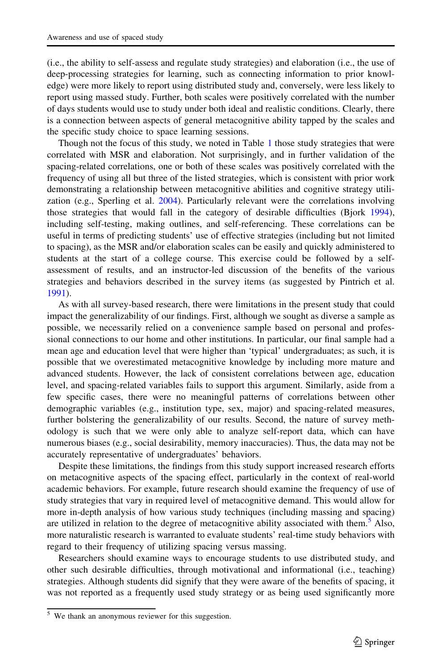(i.e., the ability to self-assess and regulate study strategies) and elaboration (i.e., the use of deep-processing strategies for learning, such as connecting information to prior knowledge) were more likely to report using distributed study and, conversely, were less likely to report using massed study. Further, both scales were positively correlated with the number of days students would use to study under both ideal and realistic conditions. Clearly, there is a connection between aspects of general metacognitive ability tapped by the scales and the specific study choice to space learning sessions.

Though not the focus of this study, we noted in Table [1](#page-8-0) those study strategies that were correlated with MSR and elaboration. Not surprisingly, and in further validation of the spacing-related correlations, one or both of these scales was positively correlated with the frequency of using all but three of the listed strategies, which is consistent with prior work demonstrating a relationship between metacognitive abilities and cognitive strategy utilization (e.g., Sperling et al. [2004\)](#page-18-0). Particularly relevant were the correlations involving those strategies that would fall in the category of desirable difficulties (Bjork [1994](#page-17-0)), including self-testing, making outlines, and self-referencing. These correlations can be useful in terms of predicting students' use of effective strategies (including but not limited to spacing), as the MSR and/or elaboration scales can be easily and quickly administered to students at the start of a college course. This exercise could be followed by a selfassessment of results, and an instructor-led discussion of the benefits of the various strategies and behaviors described in the survey items (as suggested by Pintrich et al. [1991\)](#page-18-0).

As with all survey-based research, there were limitations in the present study that could impact the generalizability of our findings. First, although we sought as diverse a sample as possible, we necessarily relied on a convenience sample based on personal and professional connections to our home and other institutions. In particular, our final sample had a mean age and education level that were higher than 'typical' undergraduates; as such, it is possible that we overestimated metacognitive knowledge by including more mature and advanced students. However, the lack of consistent correlations between age, education level, and spacing-related variables fails to support this argument. Similarly, aside from a few specific cases, there were no meaningful patterns of correlations between other demographic variables (e.g., institution type, sex, major) and spacing-related measures, further bolstering the generalizability of our results. Second, the nature of survey methodology is such that we were only able to analyze self-report data, which can have numerous biases (e.g., social desirability, memory inaccuracies). Thus, the data may not be accurately representative of undergraduates' behaviors.

Despite these limitations, the findings from this study support increased research efforts on metacognitive aspects of the spacing effect, particularly in the context of real-world academic behaviors. For example, future research should examine the frequency of use of study strategies that vary in required level of metacognitive demand. This would allow for more in-depth analysis of how various study techniques (including massing and spacing) are utilized in relation to the degree of metacognitive ability associated with them.<sup>5</sup> Also, more naturalistic research is warranted to evaluate students' real-time study behaviors with regard to their frequency of utilizing spacing versus massing.

Researchers should examine ways to encourage students to use distributed study, and other such desirable difficulties, through motivational and informational (i.e., teaching) strategies. Although students did signify that they were aware of the benefits of spacing, it was not reported as a frequently used study strategy or as being used significantly more

<sup>5</sup> We thank an anonymous reviewer for this suggestion.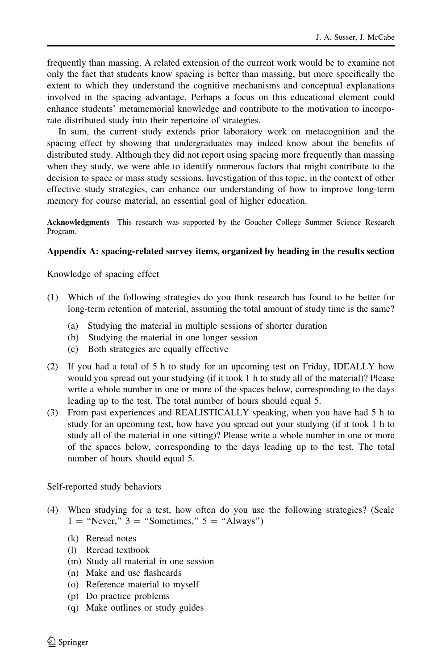<span id="page-15-0"></span>frequently than massing. A related extension of the current work would be to examine not only the fact that students know spacing is better than massing, but more specifically the extent to which they understand the cognitive mechanisms and conceptual explanations involved in the spacing advantage. Perhaps a focus on this educational element could enhance students' metamemorial knowledge and contribute to the motivation to incorporate distributed study into their repertoire of strategies.

In sum, the current study extends prior laboratory work on metacognition and the spacing effect by showing that undergraduates may indeed know about the benefits of distributed study. Although they did not report using spacing more frequently than massing when they study, we were able to identify numerous factors that might contribute to the decision to space or mass study sessions. Investigation of this topic, in the context of other effective study strategies, can enhance our understanding of how to improve long-term memory for course material, an essential goal of higher education.

Acknowledgments This research was supported by the Goucher College Summer Science Research Program.

## Appendix A: spacing-related survey items, organized by heading in the results section

Knowledge of spacing effect

- (1) Which of the following strategies do you think research has found to be better for long-term retention of material, assuming the total amount of study time is the same?
	- (a) Studying the material in multiple sessions of shorter duration
	- (b) Studying the material in one longer session
	- (c) Both strategies are equally effective
- (2) If you had a total of 5 h to study for an upcoming test on Friday, IDEALLY how would you spread out your studying (if it took 1 h to study all of the material)? Please write a whole number in one or more of the spaces below, corresponding to the days leading up to the test. The total number of hours should equal 5.
- (3) From past experiences and REALISTICALLY speaking, when you have had 5 h to study for an upcoming test, how have you spread out your studying (if it took 1 h to study all of the material in one sitting)? Please write a whole number in one or more of the spaces below, corresponding to the days leading up to the test. The total number of hours should equal 5.

Self-reported study behaviors

- (4) When studying for a test, how often do you use the following strategies? (Scale  $1 = "Never," 3 = "Sometimes," 5 = "Always")$ 
	- (k) Reread notes
	- (l) Reread textbook
	- (m) Study all material in one session
	- (n) Make and use flashcards
	- (o) Reference material to myself
	- (p) Do practice problems
	- (q) Make outlines or study guides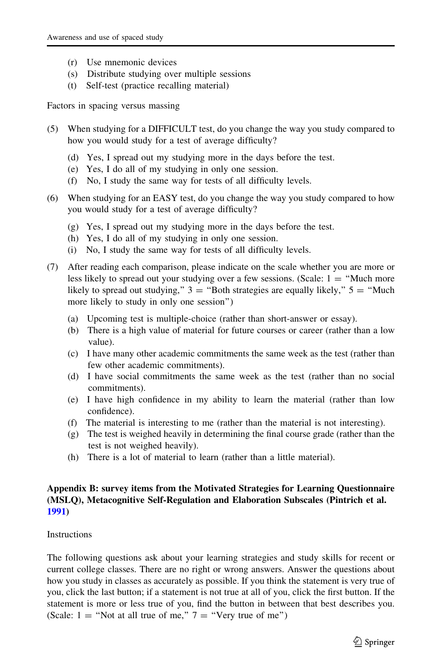- <span id="page-16-0"></span>(r) Use mnemonic devices
- (s) Distribute studying over multiple sessions
- (t) Self-test (practice recalling material)

Factors in spacing versus massing

- (5) When studying for a DIFFICULT test, do you change the way you study compared to how you would study for a test of average difficulty?
	- (d) Yes, I spread out my studying more in the days before the test.
	- (e) Yes, I do all of my studying in only one session.
	- (f) No, I study the same way for tests of all difficulty levels.
- (6) When studying for an EASY test, do you change the way you study compared to how you would study for a test of average difficulty?
	- (g) Yes, I spread out my studying more in the days before the test.
	- (h) Yes, I do all of my studying in only one session.
	- (i) No, I study the same way for tests of all difficulty levels.
- (7) After reading each comparison, please indicate on the scale whether you are more or less likely to spread out your studying over a few sessions. (Scale:  $1 = "Much more$ ) likely to spread out studying,"  $3 =$  "Both strategies are equally likely,"  $5 =$  "Much more likely to study in only one session'')
	- (a) Upcoming test is multiple-choice (rather than short-answer or essay).
	- (b) There is a high value of material for future courses or career (rather than a low value).
	- (c) I have many other academic commitments the same week as the test (rather than few other academic commitments).
	- (d) I have social commitments the same week as the test (rather than no social commitments).
	- (e) I have high confidence in my ability to learn the material (rather than low confidence).
	- (f) The material is interesting to me (rather than the material is not interesting).
	- (g) The test is weighed heavily in determining the final course grade (rather than the test is not weighed heavily).
	- (h) There is a lot of material to learn (rather than a little material).

# Appendix B: survey items from the Motivated Strategies for Learning Questionnaire (MSLQ), Metacognitive Self-Regulation and Elaboration Subscales (Pintrich et al. [1991\)](#page-18-0)

# **Instructions**

The following questions ask about your learning strategies and study skills for recent or current college classes. There are no right or wrong answers. Answer the questions about how you study in classes as accurately as possible. If you think the statement is very true of you, click the last button; if a statement is not true at all of you, click the first button. If the statement is more or less true of you, find the button in between that best describes you. (Scale:  $1 =$  "Not at all true of me,"  $7 =$  "Very true of me")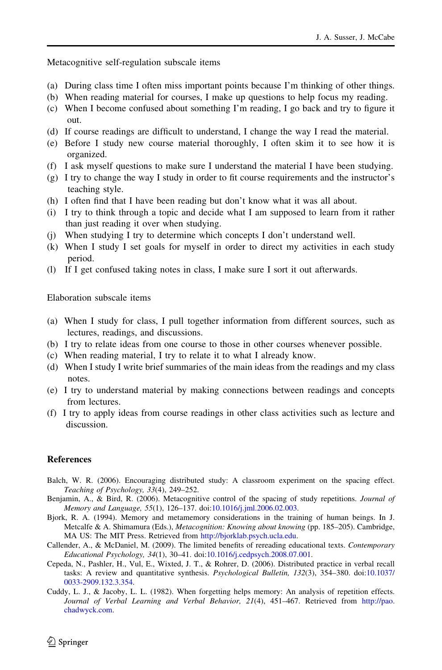<span id="page-17-0"></span>Metacognitive self-regulation subscale items

- (a) During class time I often miss important points because I'm thinking of other things.
- (b) When reading material for courses, I make up questions to help focus my reading.
- (c) When I become confused about something I'm reading, I go back and try to figure it out.
- (d) If course readings are difficult to understand, I change the way I read the material.
- (e) Before I study new course material thoroughly, I often skim it to see how it is organized.
- (f) I ask myself questions to make sure I understand the material I have been studying.
- $(g)$  I try to change the way I study in order to fit course requirements and the instructor's teaching style.
- (h) I often find that I have been reading but don't know what it was all about.
- (i) I try to think through a topic and decide what I am supposed to learn from it rather than just reading it over when studying.
- (j) When studying I try to determine which concepts I don't understand well.
- (k) When I study I set goals for myself in order to direct my activities in each study period.
- (l) If I get confused taking notes in class, I make sure I sort it out afterwards.

Elaboration subscale items

- (a) When I study for class, I pull together information from different sources, such as lectures, readings, and discussions.
- (b) I try to relate ideas from one course to those in other courses whenever possible.
- (c) When reading material, I try to relate it to what I already know.
- (d) When I study I write brief summaries of the main ideas from the readings and my class notes.
- (e) I try to understand material by making connections between readings and concepts from lectures.
- (f) I try to apply ideas from course readings in other class activities such as lecture and discussion.

# **References**

- Balch, W. R. (2006). Encouraging distributed study: A classroom experiment on the spacing effect. Teaching of Psychology, 33(4), 249–252.
- Benjamin, A., & Bird, R. (2006). Metacognitive control of the spacing of study repetitions. Journal of Memory and Language, 55(1), 126–137. doi:[10.1016/j.jml.2006.02.003](http://dx.doi.org/10.1016/j.jml.2006.02.003).
- Bjork, R. A. (1994). Memory and metamemory considerations in the training of human beings. In J. Metcalfe & A. Shimamura (Eds.), *Metacognition: Knowing about knowing* (pp. 185–205). Cambridge, MA US: The MIT Press. Retrieved from [http://bjorklab.psych.ucla.edu.](http://bjorklab.psych.ucla.edu)
- Callender, A., & McDaniel, M. (2009). The limited benefits of rereading educational texts. Contemporary Educational Psychology, 34(1), 30–41. doi:[10.1016/j.cedpsych.2008.07.001](http://dx.doi.org/10.1016/j.cedpsych.2008.07.001).
- Cepeda, N., Pashler, H., Vul, E., Wixted, J. T., & Rohrer, D. (2006). Distributed practice in verbal recall tasks: A review and quantitative synthesis. Psychological Bulletin, 132(3), 354-380. doi:[10.1037/](http://dx.doi.org/10.1037/0033-2909.132.3.354) [0033-2909.132.3.354.](http://dx.doi.org/10.1037/0033-2909.132.3.354)
- Cuddy, L. J., & Jacoby, L. L. (1982). When forgetting helps memory: An analysis of repetition effects. Journal of Verbal Learning and Verbal Behavior, 21(4), 451–467. Retrieved from [http://pao.](http://pao.chadwyck.com) [chadwyck.com.](http://pao.chadwyck.com)